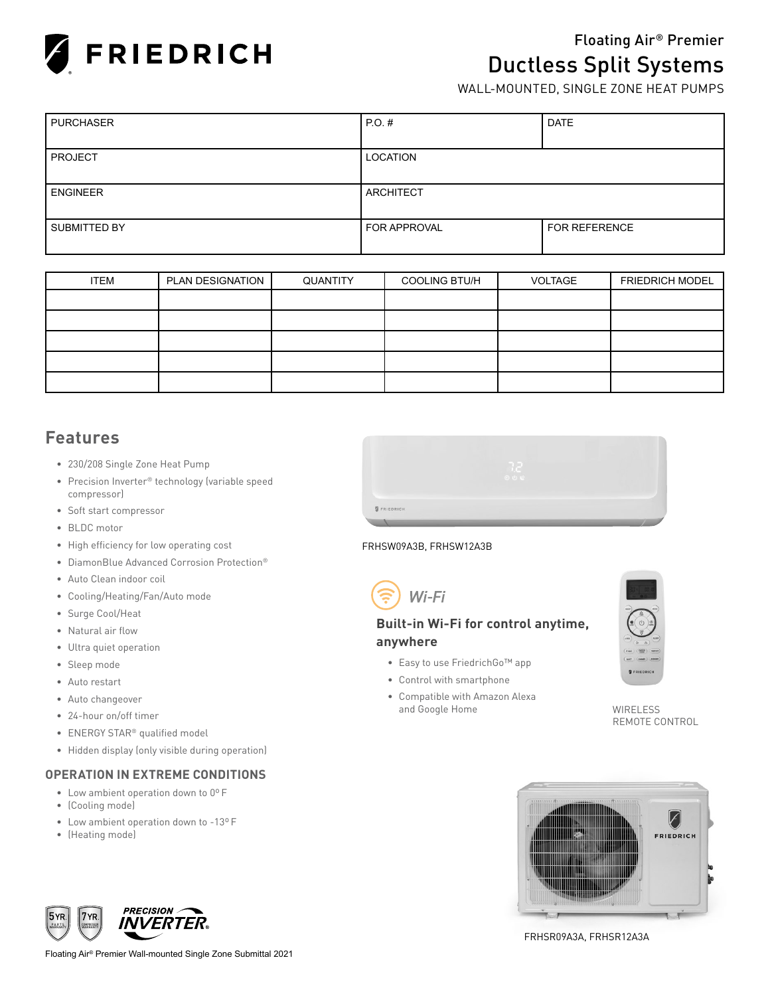

# Floating Air® Premier **Ductless Split Systems** WALL-MOUNTED, SINGLE ZONE HEAT PUMPS

| <b>PURCHASER</b> | $PO.$ #          | <b>DATE</b>   |
|------------------|------------------|---------------|
|                  |                  |               |
| PROJECT          | LOCATION         |               |
|                  |                  |               |
| <b>ENGINEER</b>  | <b>ARCHITECT</b> |               |
|                  |                  |               |
| SUBMITTED BY     | FOR APPROVAL     | FOR REFERENCE |
|                  |                  |               |

| <b>ITEM</b> | PLAN DESIGNATION | QUANTITY | <b>COOLING BTU/H</b> | <b>VOLTAGE</b> | <b>FRIEDRICH MODEL</b> |
|-------------|------------------|----------|----------------------|----------------|------------------------|
|             |                  |          |                      |                |                        |
|             |                  |          |                      |                |                        |
|             |                  |          |                      |                |                        |
|             |                  |          |                      |                |                        |
|             |                  |          |                      |                |                        |

## **Features**

- 230/208 Single Zone Heat Pump
- Precision Inverter® technology (variable speed compressor)
- Soft start compressor
- BLDC motor
- High efficiency for low operating cost
- DiamonBlue Advanced Corrosion Protection®
- Auto Clean indoor coil
- Cooling/Heating/Fan/Auto mode
- Surge Cool/Heat
- Natural air flow
- Ultra quiet operation
- Sleep mode
- Auto restart
- Auto changeover
- 24-hour on/off timer
- ENERGY STAR® qualified model
- Hidden display (only visible during operation)

## **OPERATION IN EXTREME CONDITIONS**

- Low ambient operation down to 0º F
- (Cooling mode)
- Low ambient operation down to -13º F
- (Heating mode)



#### FRHSW09A3B, FRHSW12A3B



## **Built-in Wi-Fi for control anytime, anywhere**

- Easy to use FriedrichGo™ app
- Control with smartphone
- Compatible with Amazon Alexa and Google Home WIRELESS



REMOTE CONTROL





FRHSR09A3A, FRHSR12A3A

Floating Air® Premier Wall-mounted Single Zone Submittal 2021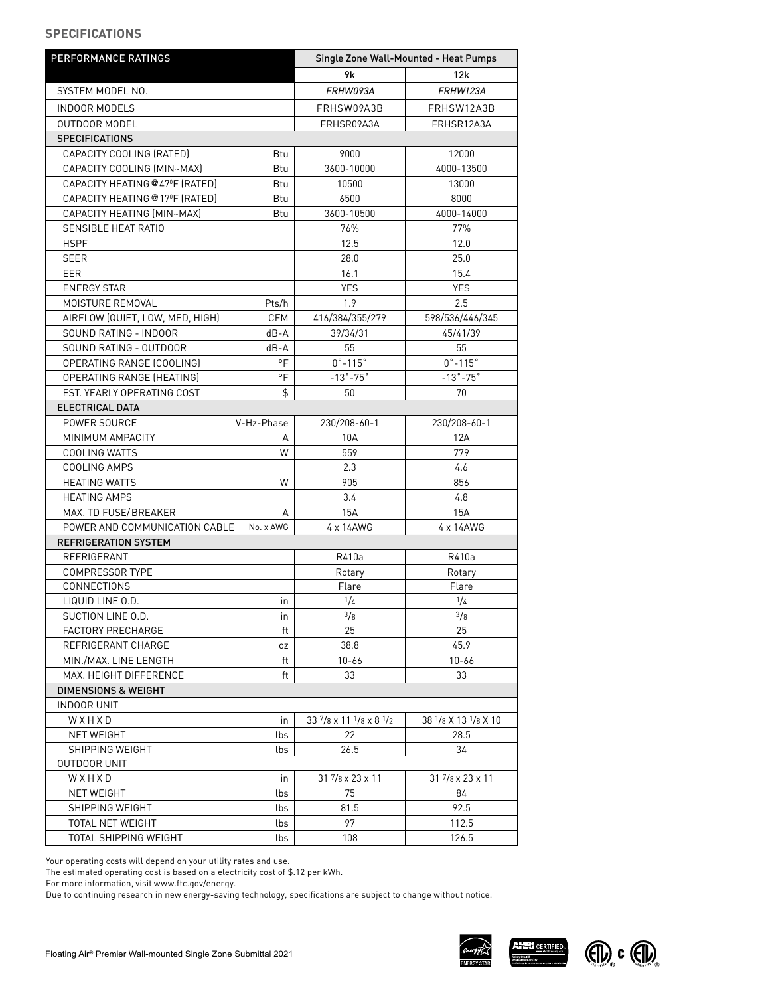#### **SPECIFICATIONS**

| PERFORMANCE RATINGS             |            | Single Zone Wall-Mounted - Heat Pumps |                           |  |
|---------------------------------|------------|---------------------------------------|---------------------------|--|
|                                 |            | 9k                                    | 12k                       |  |
| SYSTEM MODEL NO.                |            | FRHW093A                              | <b>FRHW123A</b>           |  |
| <b>INDOOR MODELS</b>            |            | FRHSW09A3B                            | FRHSW12A3B                |  |
| <b>OUTDOOR MODEL</b>            |            | FRHSR09A3A                            | FRHSR12A3A                |  |
| <b>SPECIFICATIONS</b>           |            |                                       |                           |  |
| CAPACITY COOLING (RATED)        | Btu        | 9000                                  | 12000                     |  |
| CAPACITY COOLING (MIN~MAX)      | Btu        | 3600-10000                            | 4000-13500                |  |
| CAPACITY HEATING @47°F (RATED)  | Btu        | 10500                                 | 13000                     |  |
| CAPACITY HEATING @17ºF (RATED)  | Btu        | 6500                                  | 8000                      |  |
| CAPACITY HEATING (MIN~MAX)      | Btu        | 3600-10500                            | 4000-14000                |  |
| SENSIBLE HEAT RATIO             |            | 76%                                   | 77%                       |  |
| <b>HSPF</b>                     |            | 12.5                                  | 12.0                      |  |
| <b>SEER</b>                     |            | 28.0                                  | 25.0                      |  |
|                                 |            | 16.1                                  | 15.4                      |  |
| EER                             |            | <b>YES</b>                            |                           |  |
| <b>ENERGY STAR</b>              |            |                                       | <b>YES</b>                |  |
| MOISTURE REMOVAL                | Pts/h      | 1.9                                   | 2.5                       |  |
| AIRFLOW (QUIET, LOW, MED, HIGH) | <b>CFM</b> | 416/384/355/279                       | 598/536/446/345           |  |
| SOUND RATING - INDOOR           | dB-A       | 39/34/31                              | 45/41/39                  |  |
| SOUND RATING - OUTDOOR          | dB-A       | 55                                    | 55                        |  |
| OPERATING RANGE (COOLING)       | °F         | $0^\circ - 115^\circ$                 | $0^\circ - 115^\circ$     |  |
| OPERATING RANGE (HEATING)       | °F         | $-13^\circ - 75^\circ$                | $-13^\circ - 75^\circ$    |  |
| EST. YEARLY OPERATING COST      | \$         | 50                                    | 70                        |  |
| ELECTRICAL DATA                 |            |                                       |                           |  |
| POWER SOURCE                    | V-Hz-Phase | 230/208-60-1                          | 230/208-60-1              |  |
| MINIMUM AMPACITY                | A          | 10A                                   | 12A                       |  |
| <b>COOLING WATTS</b>            | W          | 559                                   | 779                       |  |
| COOLING AMPS                    |            | 2.3                                   | 4.6                       |  |
| <b>HEATING WATTS</b>            | W          | 905                                   | 856                       |  |
| <b>HEATING AMPS</b>             |            | 3.4                                   | 4.8                       |  |
| MAX. TD FUSE/BREAKER            | A          | <b>15A</b>                            | 15A                       |  |
| POWER AND COMMUNICATION CABLE   | No. x AWG  | 4 x 14AWG                             | 4 x 14AWG                 |  |
| <b>REFRIGERATION SYSTEM</b>     |            |                                       |                           |  |
| REFRIGERANT                     |            | R410a                                 | R410a                     |  |
| <b>COMPRESSOR TYPE</b>          |            | Rotary                                | Rotary                    |  |
| CONNECTIONS                     |            | Flare                                 | Flare                     |  |
| LIQUID LINE 0.D.                | in         | 1/4                                   | 1/4                       |  |
| SUCTION LINE O.D.               | in         | 3/8                                   | 3/8                       |  |
| <b>FACTORY PRECHARGE</b>        | ft         | 25                                    | 25                        |  |
| REFRIGERANT CHARGE              | 0Z         | 38.8                                  | 45.9                      |  |
| MIN./MAX. LINE LENGTH           | ft         | $10 - 66$                             | $10 - 66$                 |  |
| MAX. HEIGHT DIFFERENCE          | ft         | 33                                    | 33                        |  |
| <b>DIMENSIONS &amp; WEIGHT</b>  |            |                                       |                           |  |
| <b>INDOOR UNIT</b>              |            |                                       |                           |  |
| WXHXD                           | in         | 33 7/8 x 11 1/8 x 8 1/2               | 38 1/8 X 13 1/8 X 10      |  |
| <b>NET WEIGHT</b>               | lbs        | 22                                    | 28.5                      |  |
| SHIPPING WEIGHT                 | lbs        | 26.5                                  | 34                        |  |
| <b>OUTDOOR UNIT</b>             |            |                                       |                           |  |
| WXHXD                           | in         | $31\frac{7}{8}$ x 23 x 11             | $31\frac{7}{8}$ x 23 x 11 |  |
| <b>NET WEIGHT</b>               | lbs        | 75                                    | 84                        |  |
| SHIPPING WEIGHT                 | lbs        | 81.5                                  | 92.5                      |  |
| TOTAL NET WEIGHT                | lbs        | 97                                    | 112.5                     |  |
| TOTAL SHIPPING WEIGHT           | lbs        | 108                                   | 126.5                     |  |

Your operating costs will depend on your utility rates and use.

The estimated operating cost is based on a electricity cost of \$.12 per kWh.

For more information, visit www.ftc.gov/energy.

Due to continuing research in new energy-saving technology, specifications are subject to change without notice.



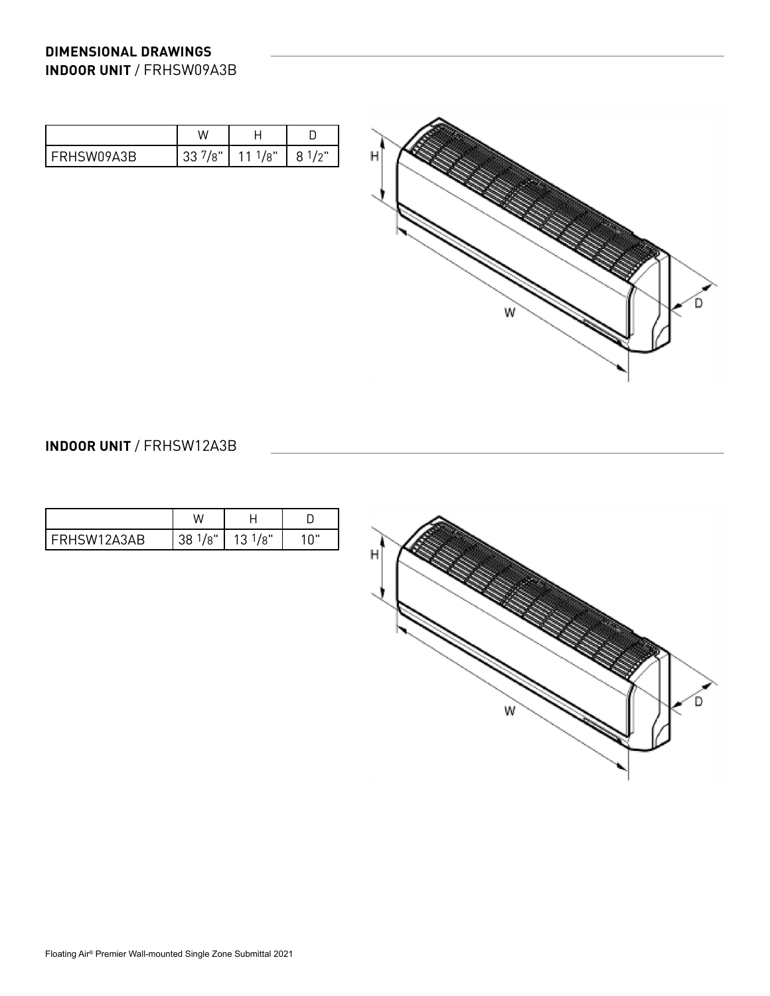## **DIMENSIONAL DRAWINGS INDOOR UNIT** / FRHSW09A3B

|                          | $\lambda$                                       |     |            |
|--------------------------|-------------------------------------------------|-----|------------|
| 19A3R<br><b>I FRHSWI</b> | $\mathsf{L}$<br>$\mathsf{D}^{\mathsf{c}}$<br>აა | /8" | $\sqrt{2}$ |



## **INDOOR UNIT** / FRHSW12A3B

| 3AR. | ا⊪ه. | /8" | ິ |
|------|------|-----|---|
| -RHS | 38   | د ا |   |

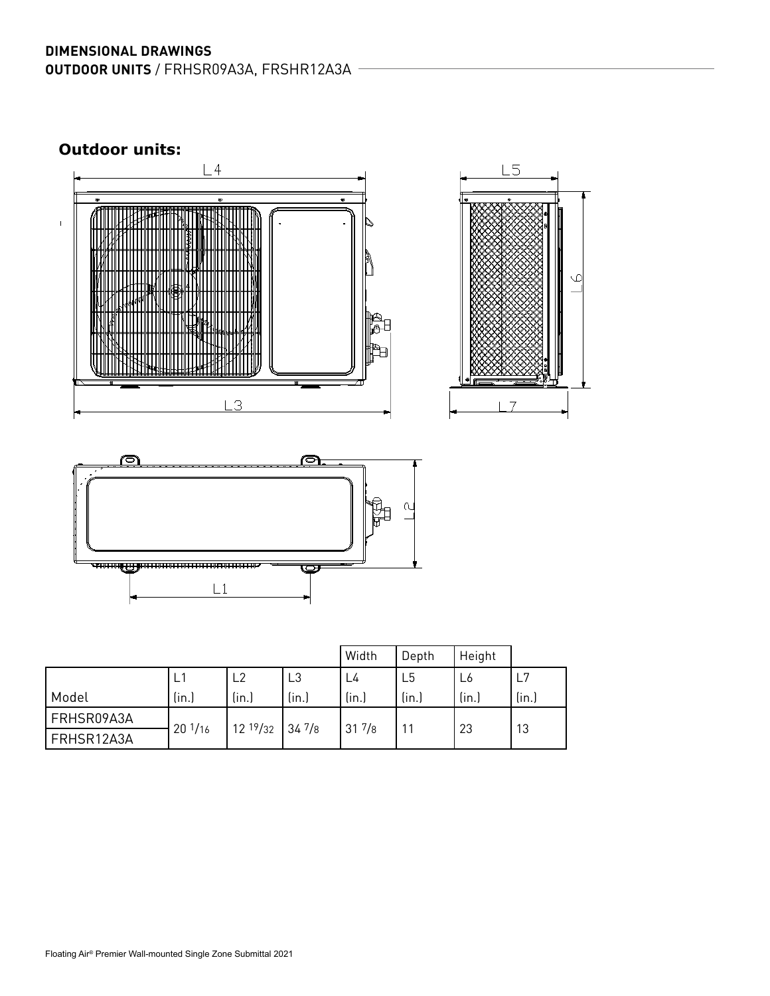## **DIMENSIONAL DRAWINGS OUTDOOR UNITS** / FRHSR09A3A, FRSHR12A3A

**Outdoor units:** 

 $\bar{\rm I}$ 







|            |                  |              | Width           | Depth           | Height         |       |       |
|------------|------------------|--------------|-----------------|-----------------|----------------|-------|-------|
|            |                  | ∟2           | L3              | L4              | L <sub>5</sub> | L6    | L7    |
| Model      | (in.)            | (in.)        | (in.)           | (in.)           | (in.)          | (in.) | (in.) |
| FRHSR09A3A |                  |              |                 |                 |                |       |       |
| FRHSR12A3A | $20\frac{1}{16}$ | $12^{19}/32$ | $34\frac{7}{8}$ | $31\frac{7}{8}$ | 11             | 23    | 13    |